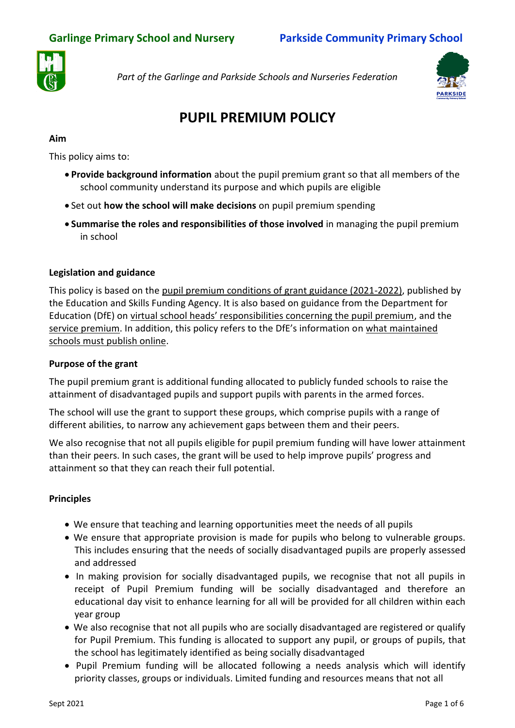

*Part of the Garlinge and Parkside Schools and Nurseries Federation*



# **PUPIL PREMIUM POLICY**

# **Aim**

This policy aims to:

- **Provide background information** about the pupil premium grant so that all members of the school community understand its purpose and which pupils are eligible
- Set out **how the school will make decisions** on pupil premium spending
- **Summarise the roles and responsibilities of those involved** in managing the pupil premium in school

# **Legislation and guidance**

This policy is based on the pupil [premium conditions of grant guidance \(2021-2022\),](https://www.gov.uk/government/publications/pupil-premium-allocations-and-conditions-of-grant-2021-to-2022/pupil-premium-conditions-of-grant-2021-to-2022-for-local-authorities) published by the Education and Skills Funding Agency. It is also based on guidance from the Department for Education (DfE) on [virtual school heads' responsibilities concerning the pupil premium](https://www.gov.uk/guidance/pupil-premium-virtual-school-heads-responsibilities), and the [service premium](https://www.gov.uk/guidance/service-premium-information-for-schools). In addition, this policy refers to the DfE's information on what maintained [schools must publish online.](https://www.gov.uk/guidance/what-maintained-schools-must-publish-online#pupil-premium)

## **Purpose of the grant**

The pupil premium grant is additional funding allocated to publicly funded schools to raise the attainment of disadvantaged pupils and support pupils with parents in the armed forces.

The school will use the grant to support these groups, which comprise pupils with a range of different abilities, to narrow any achievement gaps between them and their peers.

We also recognise that not all pupils eligible for pupil premium funding will have lower attainment than their peers. In such cases, the grant will be used to help improve pupils' progress and attainment so that they can reach their full potential.

# **Principles**

- We ensure that teaching and learning opportunities meet the needs of all pupils
- We ensure that appropriate provision is made for pupils who belong to vulnerable groups. This includes ensuring that the needs of socially disadvantaged pupils are properly assessed and addressed
- In making provision for socially disadvantaged pupils, we recognise that not all pupils in receipt of Pupil Premium funding will be socially disadvantaged and therefore an educational day visit to enhance learning for all will be provided for all children within each year group
- We also recognise that not all pupils who are socially disadvantaged are registered or qualify for Pupil Premium. This funding is allocated to support any pupil, or groups of pupils, that the school has legitimately identified as being socially disadvantaged
- Pupil Premium funding will be allocated following a needs analysis which will identify priority classes, groups or individuals. Limited funding and resources means that not all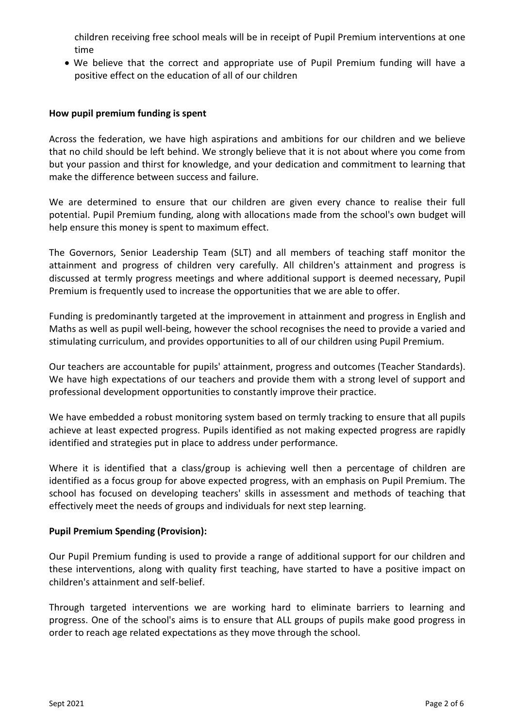children receiving free school meals will be in receipt of Pupil Premium interventions at one time

 We believe that the correct and appropriate use of Pupil Premium funding will have a positive effect on the education of all of our children

#### **How pupil premium funding is spent**

Across the federation, we have high aspirations and ambitions for our children and we believe that no child should be left behind. We strongly believe that it is not about where you come from but your passion and thirst for knowledge, and your dedication and commitment to learning that make the difference between success and failure.

We are determined to ensure that our children are given every chance to realise their full potential. Pupil Premium funding, along with allocations made from the school's own budget will help ensure this money is spent to maximum effect.

The Governors, Senior Leadership Team (SLT) and all members of teaching staff monitor the attainment and progress of children very carefully. All children's attainment and progress is discussed at termly progress meetings and where additional support is deemed necessary, Pupil Premium is frequently used to increase the opportunities that we are able to offer.

Funding is predominantly targeted at the improvement in attainment and progress in English and Maths as well as pupil well-being, however the school recognises the need to provide a varied and stimulating curriculum, and provides opportunities to all of our children using Pupil Premium.

Our teachers are accountable for pupils' attainment, progress and outcomes (Teacher Standards). We have high expectations of our teachers and provide them with a strong level of support and professional development opportunities to constantly improve their practice.

We have embedded a robust monitoring system based on termly tracking to ensure that all pupils achieve at least expected progress. Pupils identified as not making expected progress are rapidly identified and strategies put in place to address under performance.

Where it is identified that a class/group is achieving well then a percentage of children are identified as a focus group for above expected progress, with an emphasis on Pupil Premium. The school has focused on developing teachers' skills in assessment and methods of teaching that effectively meet the needs of groups and individuals for next step learning.

#### **Pupil Premium Spending (Provision):**

Our Pupil Premium funding is used to provide a range of additional support for our children and these interventions, along with quality first teaching, have started to have a positive impact on children's attainment and self-belief.

Through targeted interventions we are working hard to eliminate barriers to learning and progress. One of the school's aims is to ensure that ALL groups of pupils make good progress in order to reach age related expectations as they move through the school.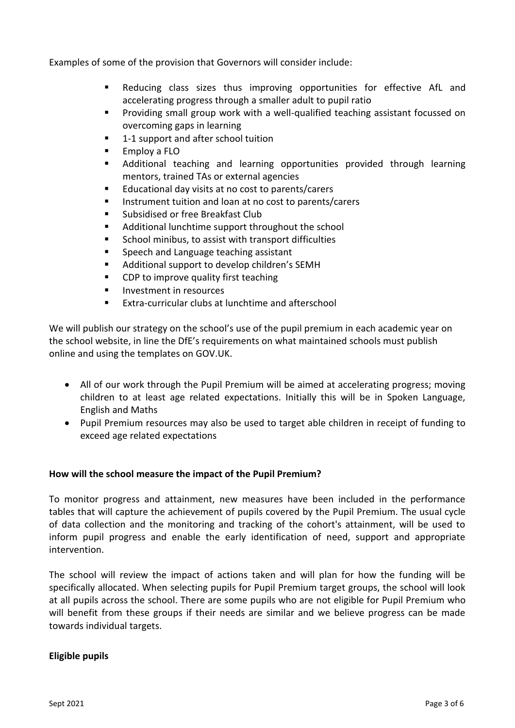Examples of some of the provision that Governors will consider include:

- Reducing class sizes thus improving opportunities for effective AfL and accelerating progress through a smaller adult to pupil ratio
- Providing small group work with a well-qualified teaching assistant focussed on overcoming gaps in learning
- 1-1 support and after school tuition
- Employ a FLO
- Additional teaching and learning opportunities provided through learning mentors, trained TAs or external agencies
- Educational day visits at no cost to parents/carers
- **IF** Instrument tuition and loan at no cost to parents/carers
- Subsidised or free Breakfast Club
- Additional lunchtime support throughout the school
- School minibus, to assist with transport difficulties
- **Speech and Language teaching assistant**
- Additional support to develop children's SEMH
- **CDP to improve quality first teaching**
- **Investment in resources**
- Extra-curricular clubs at lunchtime and afterschool

We will publish our strategy on the school's use of the pupil premium in each academic year on the school website, in line the DfE's requirements on what maintained schools must publish online and using the templates on GOV.UK.

- All of our work through the Pupil Premium will be aimed at accelerating progress; moving children to at least age related expectations. Initially this will be in Spoken Language, English and Maths
- Pupil Premium resources may also be used to target able children in receipt of funding to exceed age related expectations

#### **How will the school measure the impact of the Pupil Premium?**

To monitor progress and attainment, new measures have been included in the performance tables that will capture the achievement of pupils covered by the Pupil Premium. The usual cycle of data collection and the monitoring and tracking of the cohort's attainment, will be used to inform pupil progress and enable the early identification of need, support and appropriate intervention.

The school will review the impact of actions taken and will plan for how the funding will be specifically allocated. When selecting pupils for Pupil Premium target groups, the school will look at all pupils across the school. There are some pupils who are not eligible for Pupil Premium who will benefit from these groups if their needs are similar and we believe progress can be made towards individual targets.

#### **Eligible pupils**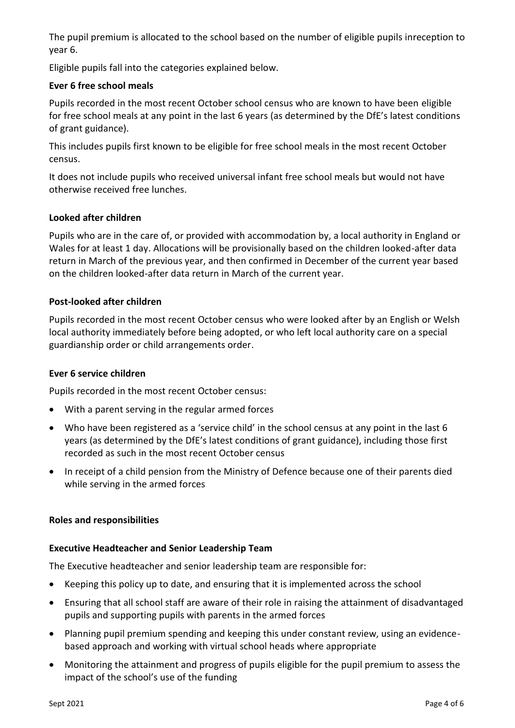The pupil premium is allocated to the school based on the number of eligible pupils inreception to year 6.

Eligible pupils fall into the categories explained below.

## **Ever 6 free school meals**

Pupils recorded in the most recent October school census who are known to have been eligible for free school meals at any point in the last 6 years (as determined by the DfE's latest conditions of grant guidance).

This includes pupils first known to be eligible for free school meals in the most recent October census.

It does not include pupils who received universal infant free school meals but would not have otherwise received free lunches.

## **Looked after children**

Pupils who are in the care of, or provided with accommodation by, a local authority in England or Wales for at least 1 day. Allocations will be provisionally based on the children looked-after data return in March of the previous year, and then confirmed in December of the current year based on the children looked-after data return in March of the current year.

## **Post-looked after children**

Pupils recorded in the most recent October census who were looked after by an English or Welsh local authority immediately before being adopted, or who left local authority care on a special guardianship order or child arrangements order.

## **Ever 6 service children**

Pupils recorded in the most recent October census:

- With a parent serving in the regular armed forces
- Who have been registered as a 'service child' in the school census at any point in the last 6 years (as determined by the DfE's latest conditions of grant guidance), including those first recorded as such in the most recent October census
- In receipt of a child pension from the Ministry of Defence because one of their parents died while serving in the armed forces

## **Roles and responsibilities**

## **Executive Headteacher and Senior Leadership Team**

The Executive headteacher and senior leadership team are responsible for:

- Keeping this policy up to date, and ensuring that it is implemented across the school
- Ensuring that all school staff are aware of their role in raising the attainment of disadvantaged pupils and supporting pupils with parents in the armed forces
- Planning pupil premium spending and keeping this under constant review, using an evidencebased approach and working with virtual school heads where appropriate
- Monitoring the attainment and progress of pupils eligible for the pupil premium to assess the impact of the school's use of the funding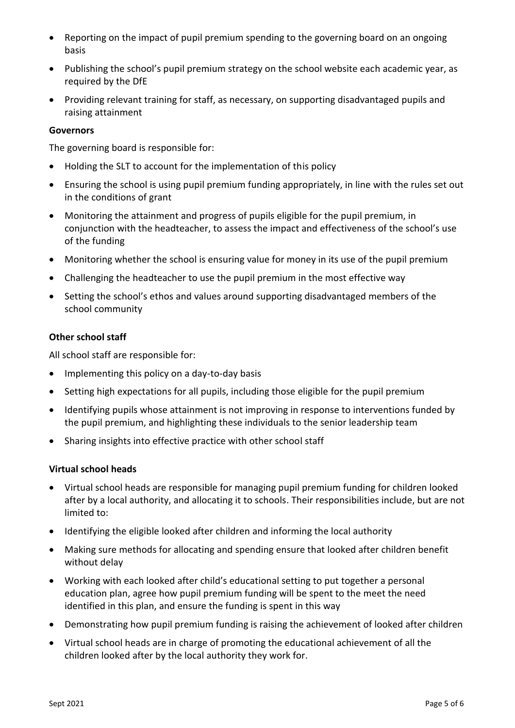- Reporting on the impact of pupil premium spending to the governing board on an ongoing basis
- Publishing the school's pupil premium strategy on the school website each academic year, as required by the DfE
- Providing relevant training for staff, as necessary, on supporting disadvantaged pupils and raising attainment

### **Governors**

The governing board is responsible for:

- Holding the SLT to account for the implementation of this policy
- Ensuring the school is using pupil premium funding appropriately, in line with the rules set out in the conditions of grant
- Monitoring the attainment and progress of pupils eligible for the pupil premium, in conjunction with the headteacher, to assess the impact and effectiveness of the school's use of the funding
- Monitoring whether the school is ensuring value for money in its use of the pupil premium
- Challenging the headteacher to use the pupil premium in the most effective way
- Setting the school's ethos and values around supporting disadvantaged members of the school community

### **Other school staff**

All school staff are responsible for:

- Implementing this policy on a day-to-day basis
- Setting high expectations for all pupils, including those eligible for the pupil premium
- Identifying pupils whose attainment is not improving in response to interventions funded by the pupil premium, and highlighting these individuals to the senior leadership team
- Sharing insights into effective practice with other school staff

#### **Virtual school heads**

- Virtual school heads are responsible for managing pupil premium funding for children looked after by a local authority, and allocating it to schools. Their responsibilities include, but are not limited to:
- Identifying the eligible looked after children and informing the local authority
- Making sure methods for allocating and spending ensure that looked after children benefit without delay
- Working with each looked after child's educational setting to put together a personal education plan, agree how pupil premium funding will be spent to the meet the need identified in this plan, and ensure the funding is spent in this way
- Demonstrating how pupil premium funding is raising the achievement of looked after children
- Virtual school heads are in charge of promoting the educational achievement of all the children looked after by the local authority they work for.